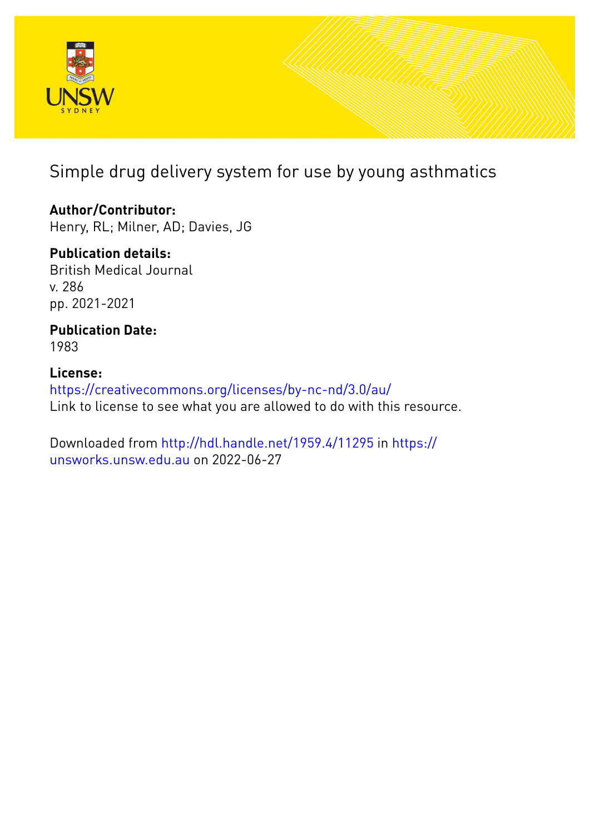

# Simple drug delivery system for use by young asthmatics

# **Author/Contributor:**

Henry, RL; Milner, AD; Davies, JG

# **Publication details:**

British Medical Journal v. 286 pp. 2021-2021

## **Publication Date:** 1983

# **License:** <https://creativecommons.org/licenses/by-nc-nd/3.0/au/> Link to license to see what you are allowed to do with this resource.

Downloaded from <http://hdl.handle.net/1959.4/11295> in [https://](https://unsworks.unsw.edu.au) [unsworks.unsw.edu.au](https://unsworks.unsw.edu.au) on 2022-06-27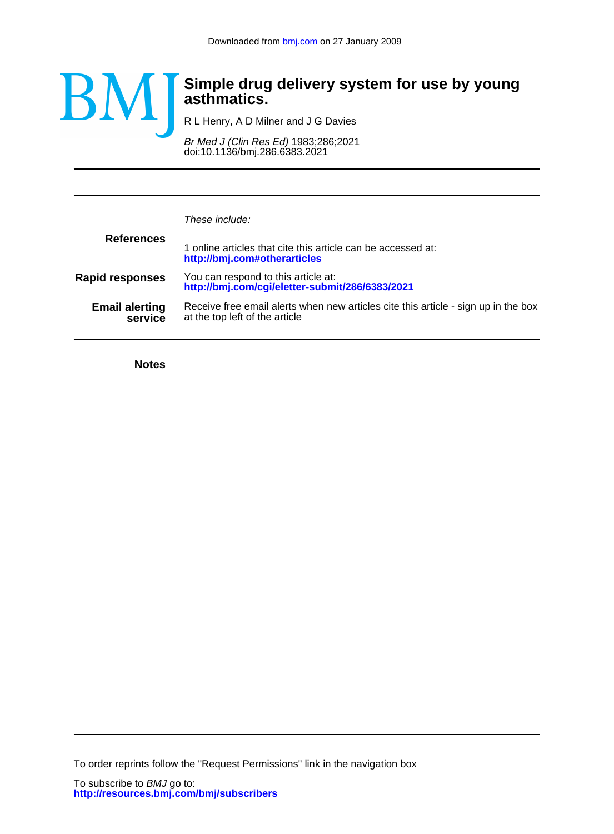

## **asthmatics. Simple drug delivery system for use by young**

R L Henry, A D Milner and J G Davies

doi:10.1136/bmj.286.6383.2021 Br Med J (Clin Res Ed) 1983;286;2021

| These include:                                                                                                       |
|----------------------------------------------------------------------------------------------------------------------|
| 1 online articles that cite this article can be accessed at:<br>http://bmj.com#otherarticles                         |
| You can respond to this article at:<br>http://bmj.com/cgi/eletter-submit/286/6383/2021                               |
| Receive free email alerts when new articles cite this article - sign up in the box<br>at the top left of the article |
|                                                                                                                      |

**Notes**

To order reprints follow the "Request Permissions" link in the navigation box